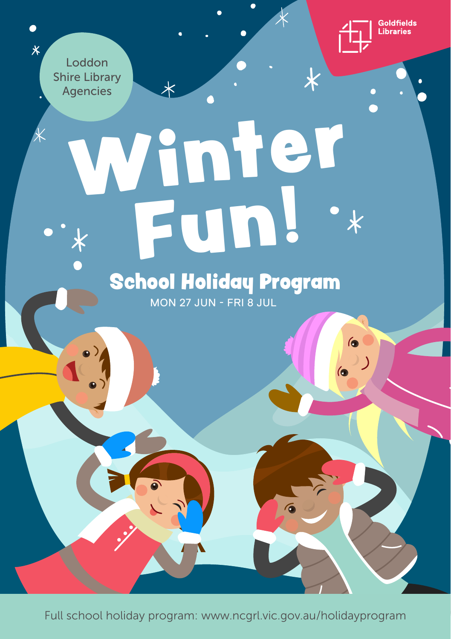

 $\bullet$ 

》)

 $\overline{\textbf{x}}$ 

Loddon Shire Library Agencies

 $\bullet$ 

 $\overline{\mathsf{X}}$ 

## Winter Fun!  $\overline{\mathbf{x}}$ School Holiday Program

 $\overline{\star}$ 

MON 27 JUN - FRI 8 JUL

Full school holiday program: www.ncgrl.vic.gov.au/holidayprogram